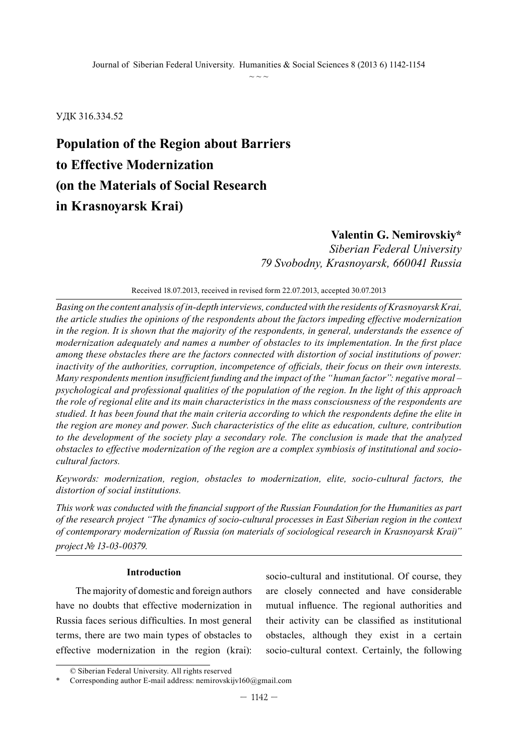УДК 316.334.52

## **Population of the Region about Barriers to Effective Modernization (on the Materials of Social Research in Krasnoyarsk Krai)**

## **Valentin G. Nemirovskiy\***

*Siberian Federal University 79 Svobodny, Krasnoyarsk, 660041 Russia*

Received 18.07.2013, received in revised form 22.07.2013, accepted 30.07.2013

*Basing on the content analysis of in-depth interviews, conducted with the residents of Krasnoyarsk Krai, the article studies the opinions of the respondents about the factors impeding effective modernization in the region. It is shown that the majority of the respondents, in general, understands the essence of modernization adequately and names a number of obstacles to its implementation. In the first place among these obstacles there are the factors connected with distortion of social institutions of power: inactivity of the authorities, corruption, incompetence of officials, their focus on their own interests. Many respondents mention insufficient funding and the impact of the "human factor": negative moral – psychological and professional qualities of the population of the region. In the light of this approach the role of regional elite and its main characteristics in the mass consciousness of the respondents are studied. It has been found that the main criteria according to which the respondents define the elite in the region are money and power. Such characteristics of the elite as education, culture, contribution to the development of the society play a secondary role. The conclusion is made that the analyzed obstacles to effective modernization of the region are a complex symbiosis of institutional and sociocultural factors.* 

*Keywords: modernization, region, obstacles to modernization, elite, socio-cultural factors, the distortion of social institutions.*

*This work was conducted with the financial support of the Russian Foundation for the Humanities as part of the research project "The dynamics of socio-cultural processes in East Siberian region in the context of contemporary modernization of Russia (on materials of sociological research in Krasnoyarsk Krai)" project № 13-03-00379.*

#### **Introduction**

The majority of domestic and foreign authors have no doubts that effective modernization in Russia faces serious difficulties. In most general terms, there are two main types of obstacles to effective modernization in the region (krai):

socio-cultural and institutional. Of course, they are closely connected and have considerable mutual influence. The regional authorities and their activity can be classified as institutional obstacles, although they exist in a certain socio-cultural context. Certainly, the following

<sup>©</sup> Siberian Federal University. All rights reserved

Corresponding author E-mail address: nemirovskijv160@gmail.com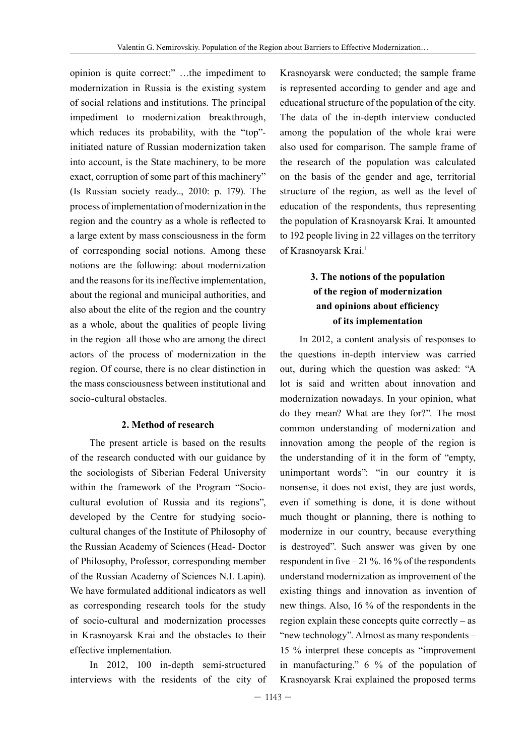opinion is quite correct:" …the impediment to modernization in Russia is the existing system of social relations and institutions. The principal impediment to modernization breakthrough, which reduces its probability, with the "top"initiated nature of Russian modernization taken into account, is the State machinery, to be more exact, corruption of some part of this machinery" (Is Russian society ready.., 2010: p. 179). The process of implementation of modernization in the region and the country as a whole is reflected to a large extent by mass consciousness in the form of corresponding social notions. Among these notions are the following: about modernization and the reasons for its ineffective implementation, about the regional and municipal authorities, and also about the elite of the region and the country as a whole, about the qualities of people living in the region–all those who are among the direct actors of the process of modernization in the region. Of course, there is no clear distinction in the mass consciousness between institutional and socio-cultural obstacles.

#### **2. Method of research**

The present article is based on the results of the research conducted with our guidance by the sociologists of Siberian Federal University within the framework of the Program "Sociocultural evolution of Russia and its regions", developed by the Centre for studying sociocultural changes of the Institute of Philosophy of the Russian Academy of Sciences (Head- Doctor of Philosophy, Professor, corresponding member of the Russian Academy of Sciences N.I. Lapin). We have formulated additional indicators as well as corresponding research tools for the study of socio-cultural and modernization processes in Krasnoyarsk Krai and the obstacles to their effective implementation.

In 2012, 100 in-depth semi-structured interviews with the residents of the city of Krasnoyarsk were conducted; the sample frame is represented according to gender and age and educational structure of the population of the city. The data of the in-depth interview conducted among the population of the whole krai were also used for comparison. The sample frame of the research of the population was calculated on the basis of the gender and age, territorial structure of the region, as well as the level of education of the respondents, thus representing the population of Krasnoyarsk Krai. It amounted to 192 people living in 22 villages on the territory of Krasnoyarsk Krai.<sup>1</sup>

### **3. The notions of the population of the region of modernization and opinions about efficiency of its implementation**

In 2012, a content analysis of responses to the questions in-depth interview was carried out, during which the question was asked: "A lot is said and written about innovation and modernization nowadays. In your opinion, what do they mean? What are they for?". The most common understanding of modernization and innovation among the people of the region is the understanding of it in the form of "empty, unimportant words": "in our country it is nonsense, it does not exist, they are just words, even if something is done, it is done without much thought or planning, there is nothing to modernize in our country, because everything is destroyed". Such answer was given by one respondent in five  $-21\%$ . 16% of the respondents understand modernization as improvement of the existing things and innovation as invention of new things. Also, 16 % of the respondents in the region explain these concepts quite correctly – as "new technology". Almost as many respondents – 15 % interpret these concepts as "improvement in manufacturing." 6 % of the population of Krasnoyarsk Krai explained the proposed terms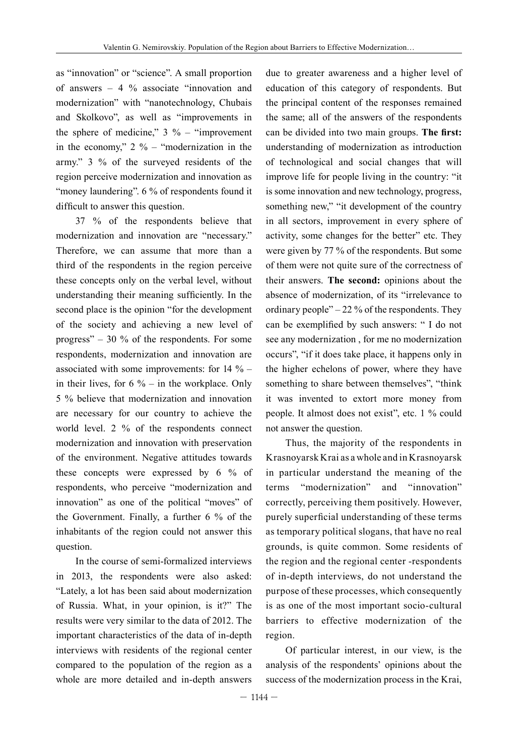as "innovation" or "science". A small proportion of answers  $-4\%$  associate "innovation and modernization" with "nanotechnology, Chubais and Skolkovo", as well as "improvements in the sphere of medicine,"  $3\%$  – "improvement" in the economy,"  $2\%$  – "modernization in the army." 3 % of the surveyed residents of the region perceive modernization and innovation as "money laundering". 6 % of respondents found it difficult to answer this question.

37 % of the respondents believe that modernization and innovation are "necessary." Therefore, we can assume that more than a third of the respondents in the region perceive these concepts only on the verbal level, without understanding their meaning sufficiently. In the second place is the opinion "for the development of the society and achieving a new level of progress" – 30  $\%$  of the respondents. For some respondents, modernization and innovation are associated with some improvements: for  $14\%$  – in their lives, for  $6\%$  – in the workplace. Only 5 % believe that modernization and innovation are necessary for our country to achieve the world level. 2 % of the respondents connect modernization and innovation with preservation of the environment. Negative attitudes towards these concepts were expressed by 6 % of respondents, who perceive "modernization and innovation" as one of the political "moves" of the Government. Finally, a further 6 % of the inhabitants of the region could not answer this question.

In the course of semi-formalized interviews in 2013, the respondents were also asked: "Lately, a lot has been said about modernization of Russia. What, in your opinion, is it?" The results were very similar to the data of 2012. The important characteristics of the data of in-depth interviews with residents of the regional center compared to the population of the region as a whole are more detailed and in-depth answers

due to greater awareness and a higher level of education of this category of respondents. But the principal content of the responses remained the same; all of the answers of the respondents can be divided into two main groups. **The first:** understanding of modernization as introduction of technological and social changes that will improve life for people living in the country: "it is some innovation and new technology, progress, something new," "it development of the country in all sectors, improvement in every sphere of activity, some changes for the better" etc. They were given by 77 % of the respondents. But some of them were not quite sure of the correctness of their answers. **The second:** opinions about the absence of modernization, of its "irrelevance to ordinary people" $-22\%$  of the respondents. They can be exemplified by such answers: " I do not see any modernization , for me no modernization occurs", "if it does take place, it happens only in the higher echelons of power, where they have something to share between themselves", "think it was invented to extort more money from people. It almost does not exist", etc. 1 % could not answer the question.

Thus, the majority of the respondents in Krasnoyarsk Krai as a whole and in Krasnoyarsk in particular understand the meaning of the terms "modernization" and "innovation" correctly, perceiving them positively. However, purely superficial understanding of these terms as temporary political slogans, that have no real grounds, is quite common. Some residents of the region and the regional center -respondents of in-depth interviews, do not understand the purpose of these processes, which consequently is as one of the most important socio-cultural barriers to effective modernization of the region.

Of particular interest, in our view, is the analysis of the respondents' opinions about the success of the modernization process in the Krai,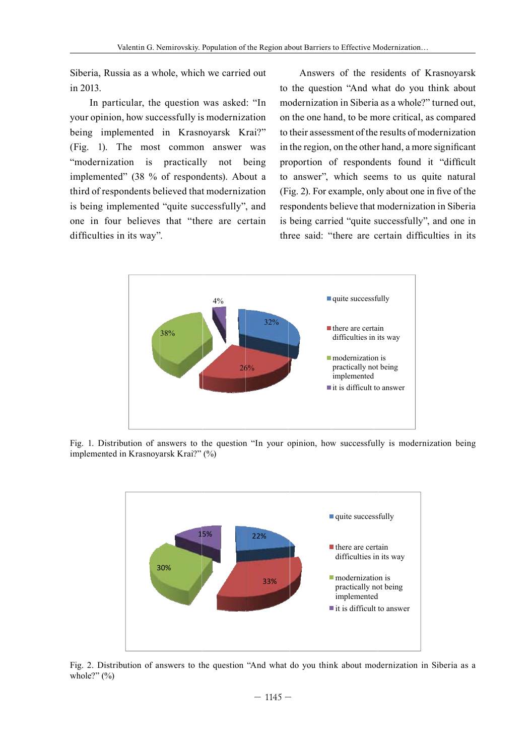Siberia, Russia as a whole, which we carried out in 2013.

In particular, the question was asked: "In your opinion, how successfully is modernization being implemented in Krasnoyarsk Krai?" (Fig. 1). The most common answer was "modernization is practically not being implemented" (38 % of respondents). About a third of respondents believed that modernization is being implemented "quite successfully", and one in four believes that "there are certain difficulties in its way".

Answers of the residents of Krasnovarsk to the question "And what do you think about modernization in Siberia as a whole?" turned out, on the one hand, to be more critical, as compared to their assessment of the results of modernization in the region, on the other hand, a more significant proportion of respondents found it "difficult to answer", which seems to us quite natural (Fig. 2). For example, only about one in five of the respondents believe that modernization in Siberia is being carried "quite successfully", and one in three said: "there are certain difficulties in its



Fig. 1. Distribution of answers to the question "In your opinion, how successfully is modernization being implemented in Krasnoyarsk Krai?" (%)



Fig. 2. Distribution of answers to the question "And what do you think about modernization in Siberia as a whole?"  $(\% )$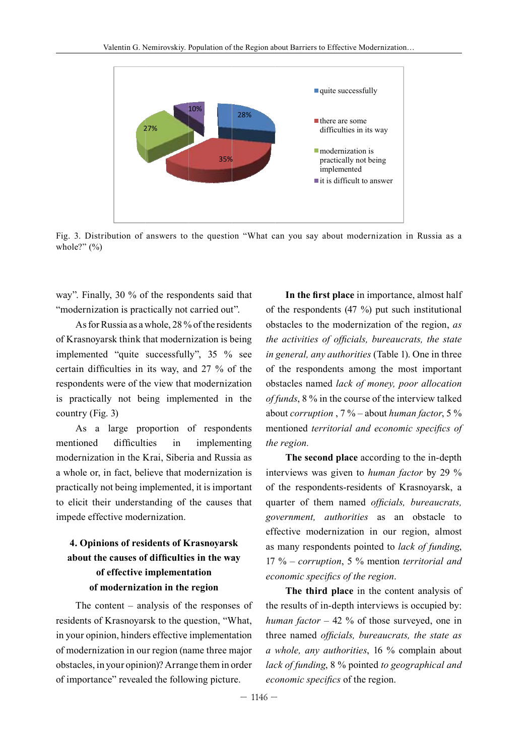

Fig. 3. Distribution of answers to the question "What can you say about modernization in Russia as a whole?"  $(\% )$ 

way". Finally,  $30\%$  of the respondents said that "modernization is practically not carried out".

As for Russia as a whole, 28 % of the residents ob of Krasnoyarsk think that modernization is being the implemented "quite successfully", 35 % see certain difficulties in its way, and 27 % of the of respondents were of the view that modernization ob is practically not being implemented in the  $\frac{1}{2}$ country (Fig. 3)  $\frac{1}{\sqrt{1}}$ 

As a large proportion of respondents mentioned difficulties in implementing *the* modernization in the Krai, Siberia and Russia as a whole or, in fact, believe that modernization is inte practically not being implemented, it is important of to elicit their understanding of the causes that qu impede effective modernization. mentioned difficulties n in our report for real control.<br>The results of the control of the control of the control of the control of the control of the control of the c ur opinionen en de een van de een van de een van de een van de een van de een van de een van de een van de een<br>Nederlandse van de een van de een van de een van de een van de een van de een van de een van de een van de een

### **4. Opinions of residents of Krasnoyarsk about the causes of difficulties in the way of effective implementation of modernization in the region**

The content – analysis of the responses of residents of Krasnoyarsk to the question, "What, in your opinion, hinders effective implementation of modernization in our region (name three major obstacles, in your opinion)? Arrange them in order of importance" revealed the following picture.

**In the first place** in importance, almost half of the respondents (47 %) put such institutional obstacles to the modernization of the region, *as the activities of officials, bureaucrats, the state in general, any authorities* (Table 1). One in three of the respondents among the most important  $i$  obstacles named *lack of money, poor allocation of funds*, 8 % in the course of the interview talked about *corruption*,  $7\%$  – about *human factor*,  $5\%$ mentioned *territorial and economic specifics of the region.* r. Uni th the m the respondents  $(47, 70)$  put such institutional  $\sum_{i=1}^n$ 

**The second place** according to the in-depth interviews was given to *human factor* by 29 % of the respondents-residents of Krasnoyarsk, a quarter of them named *officials, bureaucrats, government, authorities* as an obstacle to effective modernization in our region, almost as many respondents pointed to *lack of funding*, 17 % – *corruption*, 5 % mention *territorial and economic specifics of the region*.

> **The third place** in the content analysis of the results of in-depth interviews is occupied by: *human factor* – 42 % of those surveyed, one in three named *officials, bureaucrats, the state as a whole, any authorities*, 16 % complain about *lack of funding*, 8 % pointed *to geographical and economic specifics* of the region.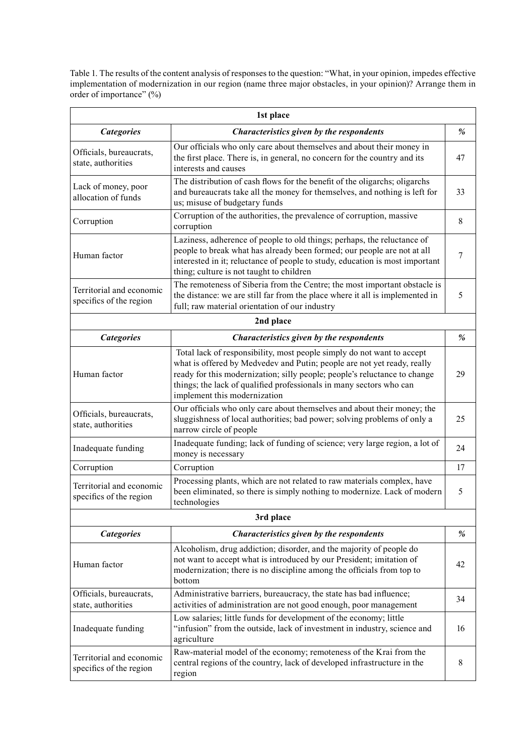Table 1. The results of the content analysis of responses to the question: "What, in your opinion, impedes effective implementation of modernization in our region (name three major obstacles, in your opinion)? Arrange them in order of importance" (%)

| 1st place                                           |                                                                                                                                                                                                                                                                                                                                       |      |
|-----------------------------------------------------|---------------------------------------------------------------------------------------------------------------------------------------------------------------------------------------------------------------------------------------------------------------------------------------------------------------------------------------|------|
| <b>Categories</b>                                   | Characteristics given by the respondents                                                                                                                                                                                                                                                                                              | $\%$ |
| Officials, bureaucrats,<br>state, authorities       | Our officials who only care about themselves and about their money in<br>the first place. There is, in general, no concern for the country and its<br>interests and causes                                                                                                                                                            | 47   |
| Lack of money, poor<br>allocation of funds          | The distribution of cash flows for the benefit of the oligarchs; oligarchs<br>and bureaucrats take all the money for themselves, and nothing is left for<br>us; misuse of budgetary funds                                                                                                                                             | 33   |
| Corruption                                          | Corruption of the authorities, the prevalence of corruption, massive<br>corruption                                                                                                                                                                                                                                                    | 8    |
| Human factor                                        | Laziness, adherence of people to old things; perhaps, the reluctance of<br>people to break what has already been formed; our people are not at all<br>interested in it; reluctance of people to study, education is most important<br>thing; culture is not taught to children                                                        | 7    |
| Territorial and economic<br>specifics of the region | The remoteness of Siberia from the Centre; the most important obstacle is<br>the distance: we are still far from the place where it all is implemented in<br>full; raw material orientation of our industry                                                                                                                           | 5    |
| 2nd place                                           |                                                                                                                                                                                                                                                                                                                                       |      |
| <b>Categories</b>                                   | Characteristics given by the respondents                                                                                                                                                                                                                                                                                              | $\%$ |
| Human factor                                        | Total lack of responsibility, most people simply do not want to accept<br>what is offered by Medvedev and Putin; people are not yet ready, really<br>ready for this modernization; silly people; people's reluctance to change<br>things; the lack of qualified professionals in many sectors who can<br>implement this modernization | 29   |
| Officials, bureaucrats,<br>state, authorities       | Our officials who only care about themselves and about their money; the<br>sluggishness of local authorities; bad power; solving problems of only a<br>narrow circle of people                                                                                                                                                        | 25   |
| Inadequate funding                                  | Inadequate funding; lack of funding of science; very large region, a lot of<br>money is necessary                                                                                                                                                                                                                                     | 24   |
| Corruption                                          | Corruption                                                                                                                                                                                                                                                                                                                            | 17   |
| Territorial and economic<br>specifics of the region | Processing plants, which are not related to raw materials complex, have<br>been eliminated, so there is simply nothing to modernize. Lack of modern<br>technologies                                                                                                                                                                   | 5    |
| 3rd place                                           |                                                                                                                                                                                                                                                                                                                                       |      |
| <b>Categories</b>                                   | Characteristics given by the respondents                                                                                                                                                                                                                                                                                              | %    |
| Human factor                                        | Alcoholism, drug addiction; disorder, and the majority of people do<br>not want to accept what is introduced by our President; imitation of<br>modernization; there is no discipline among the officials from top to<br>bottom                                                                                                        | 42   |
| Officials, bureaucrats,<br>state, authorities       | Administrative barriers, bureaucracy, the state has bad influence;<br>activities of administration are not good enough, poor management                                                                                                                                                                                               | 34   |
| Inadequate funding                                  | Low salaries; little funds for development of the economy; little<br>"infusion" from the outside, lack of investment in industry, science and<br>agriculture                                                                                                                                                                          | 16   |
| Territorial and economic<br>specifics of the region | Raw-material model of the economy; remoteness of the Krai from the<br>central regions of the country, lack of developed infrastructure in the<br>region                                                                                                                                                                               | 8    |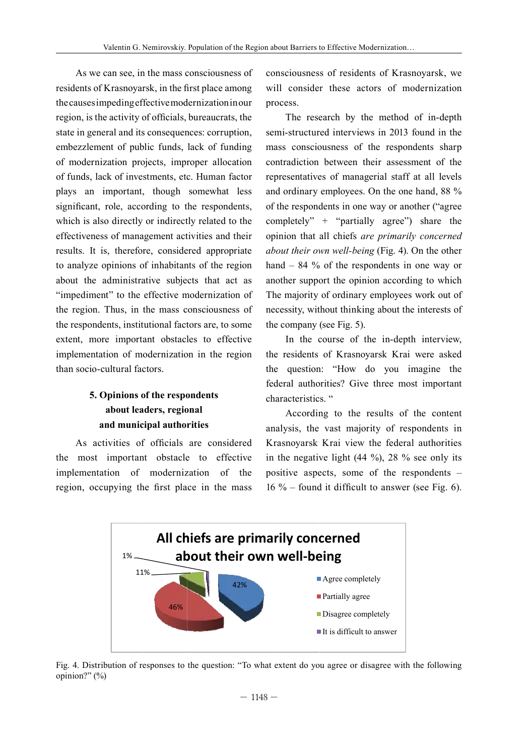As we can see, in the mass consciousness of residents of Krasnoyarsk, in the first place among the causes impeding effective modernization in our region, is the activity of officials, bureaucrats, the state in general and its consequences: corruption, embezzlement of public funds, lack of funding of modernization projects, improper allocation of funds, lack of investments, etc. Human factor plays an important, though somewhat less significant, role, according to the respondents, which is also directly or indirectly related to the effectiveness of management activities and their results. It is, therefore, considered appropriate to analyze opinions of inhabitants of the region about the administrative subjects that act as and "impediment" to the effective modernization of the region. Thus, in the mass consciousness of the respondents, institutional factors are, to some the extent, more important obstacles to effective implementation of modernization in the region the than socio-cultural factors.

#### **5. Opinions of the respondents** about leaders, regional and municipal authorities emp opmons n uit respondents  $\mathbf{r}$

As activities of officials are considered Kr the most important obstacle to effective in implementation of modernization of the pos region, occupying the first place in the mass 16

consciousness of residents of Krasnoyarsk, we will consider these actors of modernization process.

The research by the method of in-depth semi-structured interviews in 2013 found in the mass consciousness of the respondents sharp contradiction between their assessment of the representatives of managerial staff at all levels and ordinary employees. On the one hand,  $88\%$ of the respondents in one way or another ("agree completely" + "partially agree") share the opinion that all chiefs *are primarily concerned about their own well-being* (Fig. 4). On the other hand – 84 % of the respondents in one way or another support the opinion according to which The majority of ordinary employees work out of necessity, without thinking about the interests of the company (see Fig. 5).  $\overline{a}$ 

In the course of the in-depth interview, the residents of Krasnoyarsk Krai were asked the question: "How do you imagine the federal authorities? Give three most important characteristics. "

According to the results of the content analysis, the vast majority of respondents in Krasnoyarsk Krai view the federal authorities in the negative light  $(44\%)$ ,  $28\%$  see only its positive aspects, some of the respondents  $-$ 16 % – found it difficult to answer (see Fig. 6).



Fig. 4. Distribution of responses to the question: "To what extent do you agree or disagree with the following opinion?" (%)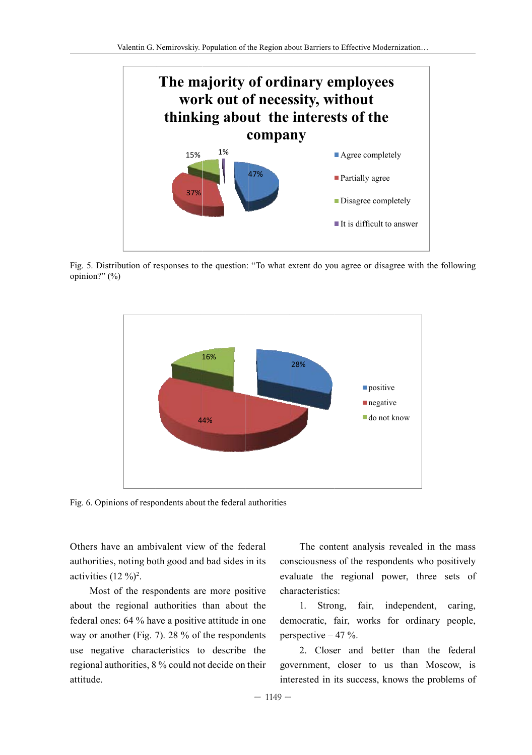

Fig. 5. Distribution of responses to the question: "To what extent do you agree or disagree with the following opinion?" (%)



Fig. 6. Opinions of respondents about the federal authorities

Others have an ambivalent view of the federal authorities, noting both good and bad sides in its activities  $(12 \%)^2$ .

Most of the respondents are more positive about the regional authorities than about the federal ones: 64 % have a positive attitude in one way or another (Fig. 7). 28 % of the respondents use negative characteristics to describe the regional authorities, 8 % could not decide on their attitude.

The content analysis revealed in the mass consciousness of the respondents who positively evaluate the regional power, three sets of characteristics:

independent, 1. Strong, fair, caring, democratic, fair, works for ordinary people, perspective  $-47$  %.

2. Closer and better than the federal government, closer to us than Moscow, is interested in its success, knows the problems of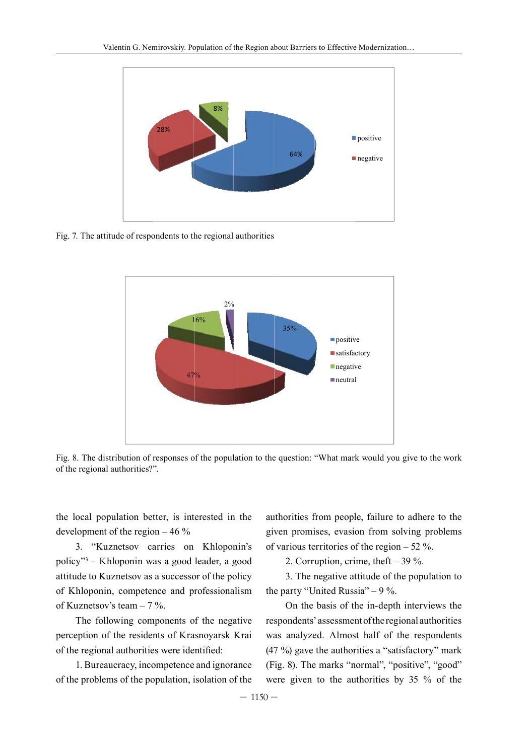

Fig. 7. The attitude of respondents to the regional authorities



Fig. 8. The distribution of responses of the population to the question: "What mark would you give to the work rig. o. The distribution of responses and  $\eta$ component property negative n would ge residents en de la décembre de la production de la production de la production de la production de la production de la production de la production de la production de la production de la production de la production de la p responses of<br>,,, of the popul liation to the e question.  $\ddot{\phantom{a}}$  and  $\ddot{\phantom{a}}$ 

the local population better, is interested in the authorities development of the region  $-46\%$ 

3. "Kuznetsov carries on Khloponin's of policy"<sup>3</sup> – Khloponin was a good leader, a good attitude to Kuznetsov as a successor of the policy of Khloponin, competence and professionalism of Kuznetsov's team – 7 %.

The following components of the negative perception of the residents of Krasnoyarsk Krai of the regional authorities were identified:

1. Bureaucracy, incompetence and ignorance of the problems of the population, isolation of the

authorities from people, failure to adhere to the given promises, evasion from solving problems of various territories of the region  $-52$ %.

2. Corruption, crime, theft – 39 %.

3. The negative attitude of the population to the party "United Russia"  $-9\%$ .

On the basis of the in-depth interviews the respondents' assessment of the regional authorities was analyzed. Almost half of the respondents (47 %) gave the authorities a "satisfactory" mark (Fig. 8). The marks "normal", "positive", "good" were given to the authorities by 35 % of the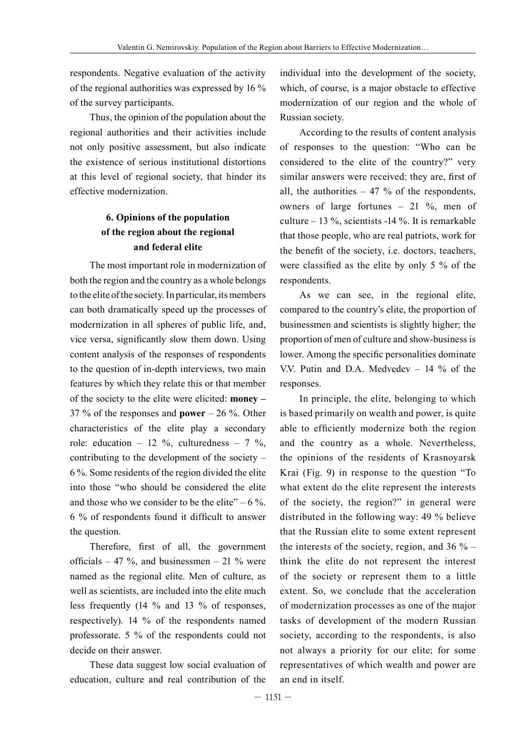respondents. Negative evaluation of the activity of the regional authorities was expressed by 16 % of the survey participants.

Thus, the opinion of the population about the regional authorities and their activities include not only positive assessment, but also indicate the existence of serious institutional distortions at this level of regional society, that hinder its effective modernization.

### **6. Opinions of the population of the region about the regional and federal elite**

The most important role in modernization of both the region and the country as a whole belongs to the elite of the society. In particular, its members can both dramatically speed up the processes of modernization in all spheres of public life, and, vice versa, significantly slow them down. Using content analysis of the responses of respondents to the question of in-depth interviews, two main features by which they relate this or that member of the society to the elite were elicited: **money –**  37 % of the responses and **power** – 26 %. Other characteristics of the elite play a secondary role: education – 12 %, culturedness – 7 %, contributing to the development of the society – 6 %. Some residents of the region divided the elite into those "who should be considered the elite and those who we consider to be the elite" –  $6\%$ . 6 % of respondents found it difficult to answer the question.

Therefore, first of all, the government officials – 47 %, and businessmen – 21 % were named as the regional elite. Men of culture, as well as scientists, are included into the elite much less frequently (14 % and 13 % of responses, respectively). 14 % of the respondents named professorate. 5 % of the respondents could not decide on their answer.

These data suggest low social evaluation of education, culture and real contribution of the

individual into the development of the society, which, of course, is a major obstacle to effective modernization of our region and the whole of Russian society.

According to the results of content analysis of responses to the question: "Who can be considered to the elite of the country?" very similar answers were received: they are, first of all, the authorities  $-47$  % of the respondents, owners of large fortunes – 21 %, men of culture – 13 %, scientists -14 %. It is remarkable that those people, who are real patriots, work for the benefit of the society, i.e. doctors, teachers, were classified as the elite by only 5 % of the respondents.

As we can see, in the regional elite, compared to the country's elite, the proportion of businessmen and scientists is slightly higher; the proportion of men of culture and show-business is lower. Among the specific personalities dominate V.V. Putin and D.A. Medvedev – 14 % of the responses.

In principle, the elite, belonging to which is based primarily on wealth and power, is quite able to efficiently modernize both the region and the country as a whole. Nevertheless, the opinions of the residents of Krasnoyarsk Krai (Fig. 9) in response to the question "To what extent do the elite represent the interests of the society, the region?" in general were distributed in the following way: 49 % believe that the Russian elite to some extent represent the interests of the society, region, and  $36\%$  – think the elite do not represent the interest of the society or represent them to a little extent. So, we conclude that the acceleration of modernization processes as one of the major tasks of development of the modern Russian society, according to the respondents, is also not always a priority for our elite; for some representatives of which wealth and power are an end in itself.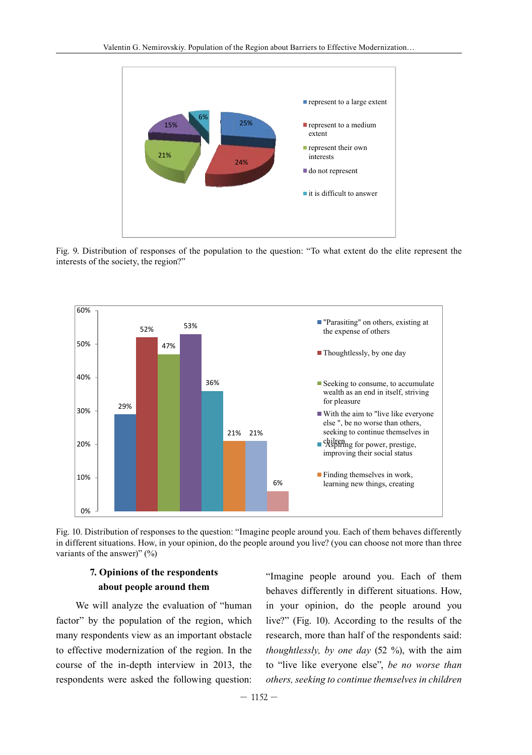

Fig. 9. Distribution of responses of the population to the question: "To what extent do the elite represent the interests of the society, the region?"



Fig. 10. Distribution of responses to the question: "Imagine people around you. Each of them behaves differently in different situations. How, in your opinion, do the people around you live? (you can choose not more than three variants of the answer)"  $(\% )$ 

#### 7. Opinions of the respondents about people around them

We will analyze the evaluation of "human factor" by the population of the region, which many respondents view as an important obstacle to effective modernization of the region. In the course of the in-depth interview in 2013, the respondents were asked the following question:

"Imagine people around you. Each of them behaves differently in different situations. How, in your opinion, do the people around you live?" (Fig. 10). According to the results of the research, more than half of the respondents said: thoughtlessly, by one day  $(52 \%)$ , with the aim to "live like everyone else", be no worse than others, seeking to continue themselves in children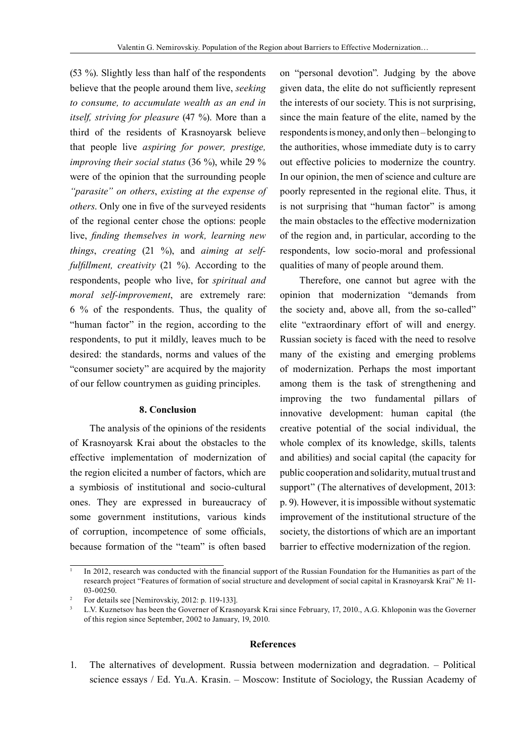(53 %). Slightly less than half of the respondents believe that the people around them live, *seeking to consume, to accumulate wealth as an end in itself, striving for pleasure* (47 %). More than a third of the residents of Krasnoyarsk believe that people live *aspiring for power, prestige, improving their social status* (36 %), while 29 % were of the opinion that the surrounding people *"parasite" on others*, *existing at the expense of others*. Only one in five of the surveyed residents of the regional center chose the options: people live, *finding themselves in work, learning new things*, *creating* (21 %), and *aiming at selffulfillment, creativity* (21 %). According to the respondents, people who live, for *spiritual and moral self-improvement*, are extremely rare: 6 % of the respondents. Thus, the quality of "human factor" in the region, according to the respondents, to put it mildly, leaves much to be desired: the standards, norms and values of the "consumer society" are acquired by the majority of our fellow countrymen as guiding principles.

#### **8. Conclusion**

The analysis of the opinions of the residents of Krasnoyarsk Krai about the obstacles to the effective implementation of modernization of the region elicited a number of factors, which are a symbiosis of institutional and socio-cultural ones. They are expressed in bureaucracy of some government institutions, various kinds of corruption, incompetence of some officials, because formation of the "team" is often based

on "personal devotion". Judging by the above given data, the elite do not sufficiently represent the interests of our society. This is not surprising, since the main feature of the elite, named by the respondents is money, and only then – belonging to the authorities, whose immediate duty is to carry out effective policies to modernize the country. In our opinion, the men of science and culture are poorly represented in the regional elite. Thus, it is not surprising that "human factor" is among the main obstacles to the effective modernization of the region and, in particular, according to the respondents, low socio-moral and professional qualities of many of people around them.

Therefore, one cannot but agree with the opinion that modernization "demands from the society and, above all, from the so-called" elite "extraordinary effort of will and energy. Russian society is faced with the need to resolve many of the existing and emerging problems of modernization. Perhaps the most important among them is the task of strengthening and improving the two fundamental pillars of innovative development: human capital (the creative potential of the social individual, the whole complex of its knowledge, skills, talents and abilities) and social capital (the capacity for public cooperation and solidarity, mutual trust and support" (The alternatives of development, 2013: p. 9). However, it is impossible without systematic improvement of the institutional structure of the society, the distortions of which are an important barrier to effective modernization of the region.

#### **References**

1. The alternatives of development. Russia between modernization and degradation. – Political science essays / Ed. Yu.A. Krasin. – Moscow: Institute of Sociology, the Russian Academy of

<sup>1</sup> In 2012, research was conducted with the financial support of the Russian Foundation for the Humanities as part of the research project "Features of formation of social structure and development of social capital in Krasnoyarsk Krai" № 11- 03-00250.

<sup>2</sup> For details see [Nemirovskiy, 2012: p. 119-133].

L.V. Kuznetsov has been the Governer of Krasnoyarsk Krai since February, 17, 2010., A.G. Khloponin was the Governer of this region since September, 2002 to January, 19, 2010.